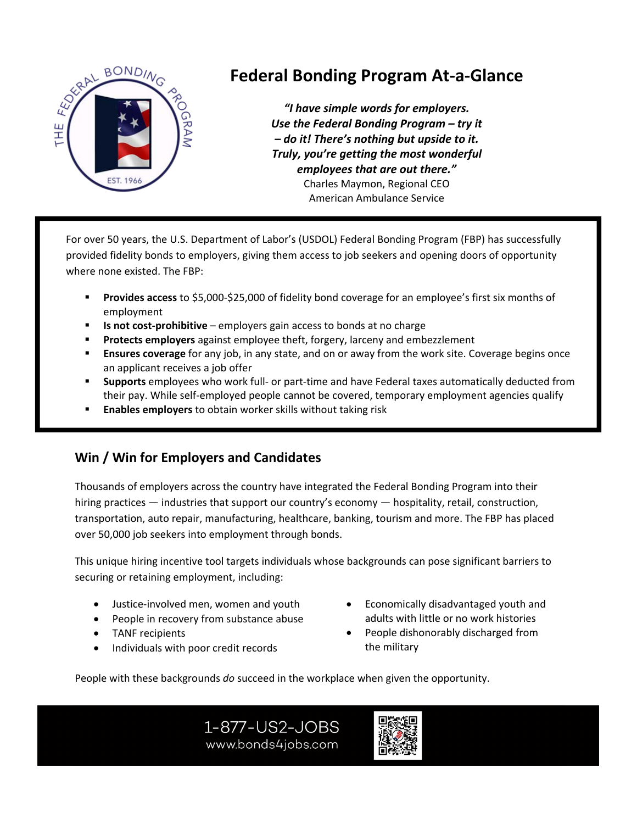

## **Federal Bonding Program At‐a‐Glance**

*"I have simple words for employers. Use the Federal Bonding Program – try it – do it! There's nothing but upside to it. Truly, you're getting the most wonderful employees that are out there."*  Charles Maymon, Regional CEO American Ambulance Service

For over 50 years, the U.S. Department of Labor's (USDOL) Federal Bonding Program (FBP) has successfully provided fidelity bonds to employers, giving them access to job seekers and opening doors of opportunity where none existed. The FBP:

- **Provides access** to \$5,000‐\$25,000 of fidelity bond coverage for an employee's first six months of employment
- **Is not cost-prohibitive** employers gain access to bonds at no charge
- **Protects employers** against employee theft, forgery, larceny and embezzlement
- **Ensures coverage** for any job, in any state, and on or away from the work site. Coverage begins once an applicant receives a job offer
- **Supports** employees who work full‐ or part‐time and have Federal taxes automatically deducted from their pay. While self‐employed people cannot be covered, temporary employment agencies qualify
- **Enables employers** to obtain worker skills without taking risk

## **Win / Win for Employers and Candidates**

Thousands of employers across the country have integrated the Federal Bonding Program into their hiring practices — industries that support our country's economy — hospitality, retail, construction, transportation, auto repair, manufacturing, healthcare, banking, tourism and more. The FBP has placed over 50,000 job seekers into employment through bonds.

This unique hiring incentive tool targets individuals whose backgrounds can pose significant barriers to securing or retaining employment, including:

- Justice-involved men, women and youth
- People in recovery from substance abuse
- TANF recipients
- Individuals with poor credit records
- Economically disadvantaged youth and adults with little or no work histories
- People dishonorably discharged from the military

People with these backgrounds *do* succeed in the workplace when given the opportunity.

1-877-US2-JOBS www.bonds4jobs.com